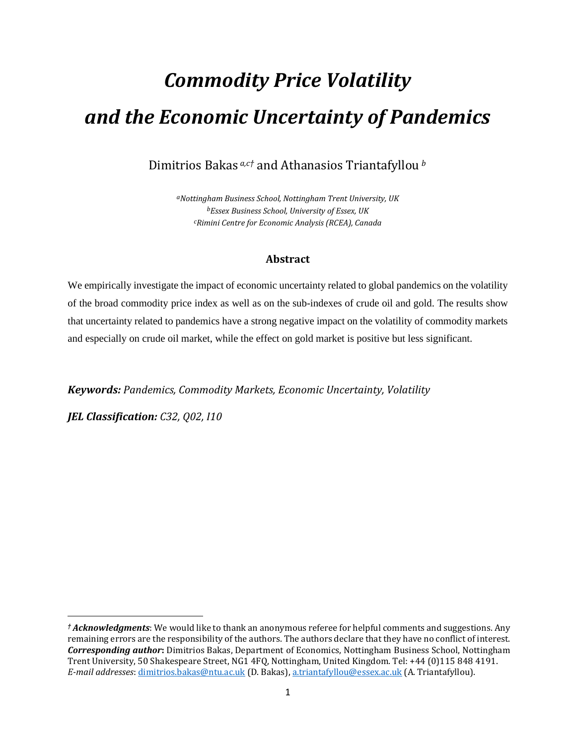# *Commodity Price Volatility and the Economic Uncertainty of Pandemics*

Dimitrios Bakas *a,c†* and Athanasios Triantafyllou *<sup>b</sup>*

*aNottingham Business School, Nottingham Trent University, UK bEssex Business School, University of Essex, UK cRimini Centre for Economic Analysis (RCEA), Canada*

### **Abstract**

We empirically investigate the impact of economic uncertainty related to global pandemics on the volatility of the broad commodity price index as well as on the sub-indexes of crude oil and gold. The results show that uncertainty related to pandemics have a strong negative impact on the volatility of commodity markets and especially on crude oil market, while the effect on gold market is positive but less significant.

*Keywords: Pandemics, Commodity Markets, Economic Uncertainty, Volatility*

*JEL Classification: C32, Q02, I10*

*<sup>†</sup> Acknowledgments*: We would like to thank an anonymous referee for helpful comments and suggestions. Any remaining errors are the responsibility of the authors. The authors declare that they have no conflict of interest. *Corresponding author***:** Dimitrios Bakas, Department of Economics, Nottingham Business School, Nottingham Trent University, 50 Shakespeare Street, NG1 4FQ, Nottingham, United Kingdom. Tel: +44 (0)115 848 4191. *E-mail addresses*: [dimitrios.bakas@ntu.ac.uk](mailto:dimitrios.bakas@ntu.ac.uk) (D. Bakas), [a.triantafyllou@essex.ac.uk](mailto:a.triantafyllou@essex.ac.uk) (A. Triantafyllou).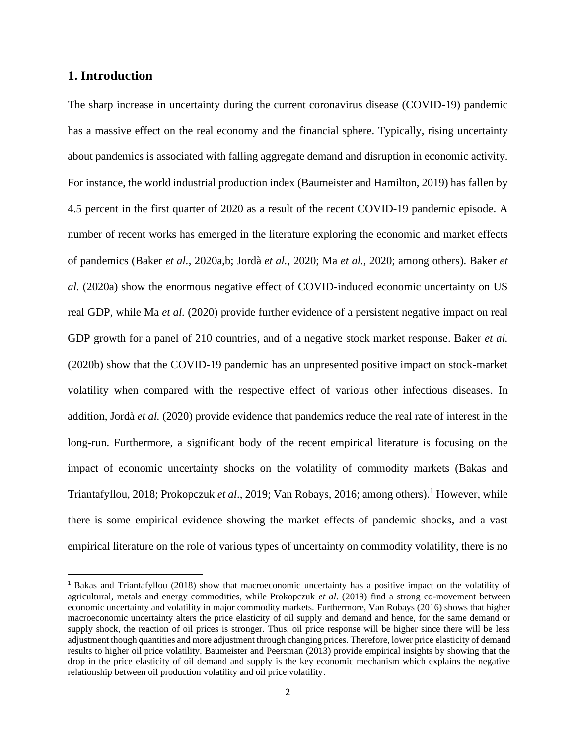### **1. Introduction**

The sharp increase in uncertainty during the current coronavirus disease (COVID-19) pandemic has a massive effect on the real economy and the financial sphere. Typically, rising uncertainty about pandemics is associated with falling aggregate demand and disruption in economic activity. For instance, the world industrial production index (Baumeister and Hamilton, 2019) has fallen by 4.5 percent in the first quarter of 2020 as a result of the recent COVID-19 pandemic episode. A number of recent works has emerged in the literature exploring the economic and market effects of pandemics (Baker *et al.*, 2020a,b; Jordà *et al.*, 2020; Ma *et al.*, 2020; among others). Baker *et al.* (2020a) show the enormous negative effect of COVID-induced economic uncertainty on US real GDP, while Ma *et al.* (2020) provide further evidence of a persistent negative impact on real GDP growth for a panel of 210 countries, and of a negative stock market response. Baker *et al.* (2020b) show that the COVID-19 pandemic has an unpresented positive impact on stock-market volatility when compared with the respective effect of various other infectious diseases. In addition, Jordà *et al.* (2020) provide evidence that pandemics reduce the real rate of interest in the long-run. Furthermore, a significant body of the recent empirical literature is focusing on the impact of economic uncertainty shocks on the volatility of commodity markets (Bakas and Triantafyllou, 2018; Prokopczuk *et al.*, 2019; Van Robays, 2016; among others).<sup>1</sup> However, while there is some empirical evidence showing the market effects of pandemic shocks, and a vast empirical literature on the role of various types of uncertainty on commodity volatility, there is no

<sup>1</sup> Bakas and Triantafyllou (2018) show that macroeconomic uncertainty has a positive impact on the volatility of agricultural, metals and energy commodities, while Prokopczuk *et al*. (2019) find a strong co-movement between economic uncertainty and volatility in major commodity markets. Furthermore, Van Robays (2016) shows that higher macroeconomic uncertainty alters the price elasticity of oil supply and demand and hence, for the same demand or supply shock, the reaction of oil prices is stronger. Thus, oil price response will be higher since there will be less adjustment though quantities and more adjustment through changing prices. Therefore, lower price elasticity of demand results to higher oil price volatility. Baumeister and Peersman (2013) provide empirical insights by showing that the drop in the price elasticity of oil demand and supply is the key economic mechanism which explains the negative relationship between oil production volatility and oil price volatility.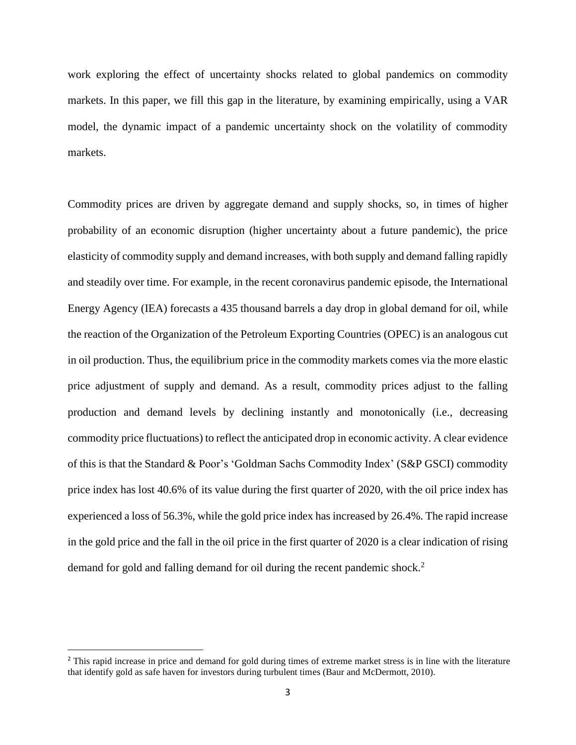work exploring the effect of uncertainty shocks related to global pandemics on commodity markets. In this paper, we fill this gap in the literature, by examining empirically, using a VAR model, the dynamic impact of a pandemic uncertainty shock on the volatility of commodity markets.

Commodity prices are driven by aggregate demand and supply shocks, so, in times of higher probability of an economic disruption (higher uncertainty about a future pandemic), the price elasticity of commodity supply and demand increases, with both supply and demand falling rapidly and steadily over time. For example, in the recent coronavirus pandemic episode, the International Energy Agency (IEA) forecasts a 435 thousand barrels a day drop in global demand for oil, while the reaction of the Organization of the Petroleum Exporting Countries (OPEC) is an analogous cut in oil production. Thus, the equilibrium price in the commodity markets comes via the more elastic price adjustment of supply and demand. As a result, commodity prices adjust to the falling production and demand levels by declining instantly and monotonically (i.e., decreasing commodity price fluctuations) to reflect the anticipated drop in economic activity. A clear evidence of this is that the Standard & Poor's 'Goldman Sachs Commodity Index' (S&P GSCI) commodity price index has lost 40.6% of its value during the first quarter of 2020, with the oil price index has experienced a loss of 56.3%, while the gold price index has increased by 26.4%. The rapid increase in the gold price and the fall in the oil price in the first quarter of 2020 is a clear indication of rising demand for gold and falling demand for oil during the recent pandemic shock.<sup>2</sup>

<sup>&</sup>lt;sup>2</sup> This rapid increase in price and demand for gold during times of extreme market stress is in line with the literature that identify gold as safe haven for investors during turbulent times (Baur and McDermott, 2010).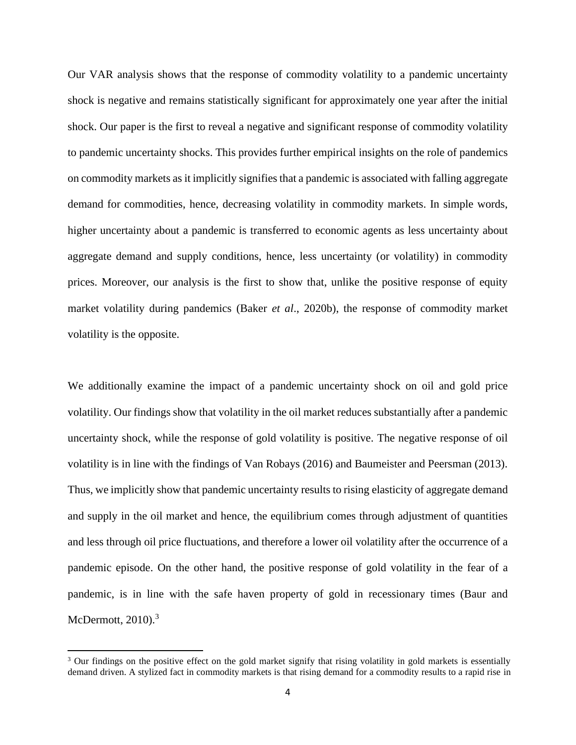Our VAR analysis shows that the response of commodity volatility to a pandemic uncertainty shock is negative and remains statistically significant for approximately one year after the initial shock. Our paper is the first to reveal a negative and significant response of commodity volatility to pandemic uncertainty shocks. This provides further empirical insights on the role of pandemics on commodity markets as it implicitly signifiesthat a pandemic is associated with falling aggregate demand for commodities, hence, decreasing volatility in commodity markets. In simple words, higher uncertainty about a pandemic is transferred to economic agents as less uncertainty about aggregate demand and supply conditions, hence, less uncertainty (or volatility) in commodity prices. Moreover, our analysis is the first to show that, unlike the positive response of equity market volatility during pandemics (Baker *et al*., 2020b), the response of commodity market volatility is the opposite.

We additionally examine the impact of a pandemic uncertainty shock on oil and gold price volatility. Our findings show that volatility in the oil market reduces substantially after a pandemic uncertainty shock, while the response of gold volatility is positive. The negative response of oil volatility is in line with the findings of Van Robays (2016) and Baumeister and Peersman (2013). Thus, we implicitly show that pandemic uncertainty results to rising elasticity of aggregate demand and supply in the oil market and hence, the equilibrium comes through adjustment of quantities and less through oil price fluctuations, and therefore a lower oil volatility after the occurrence of a pandemic episode. On the other hand, the positive response of gold volatility in the fear of a pandemic, is in line with the safe haven property of gold in recessionary times (Baur and McDermott,  $2010$ .<sup>3</sup>

<sup>&</sup>lt;sup>3</sup> Our findings on the positive effect on the gold market signify that rising volatility in gold markets is essentially demand driven. A stylized fact in commodity markets is that rising demand for a commodity results to a rapid rise in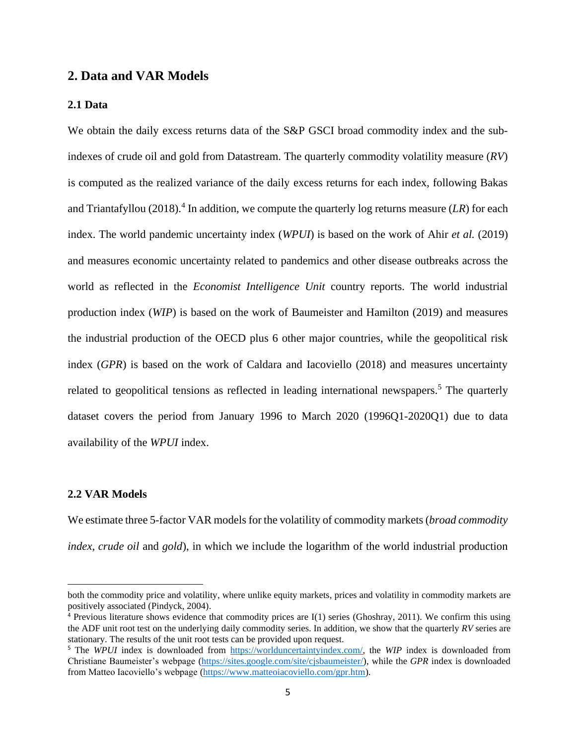#### **2. Data and VAR Models**

#### **2.1 Data**

We obtain the daily excess returns data of the S&P GSCI broad commodity index and the subindexes of crude oil and gold from Datastream. The quarterly commodity volatility measure (*RV*) is computed as the realized variance of the daily excess returns for each index, following Bakas and Triantafyllou  $(2018).$ <sup>4</sup> In addition, we compute the quarterly log returns measure  $(LR)$  for each index. The world pandemic uncertainty index (*WPUI*) is based on the work of Ahir *et al.* (2019) and measures economic uncertainty related to pandemics and other disease outbreaks across the world as reflected in the *Economist Intelligence Unit* country reports. The world industrial production index (*WIP*) is based on the work of Baumeister and Hamilton (2019) and measures the industrial production of the OECD plus 6 other major countries, while the geopolitical risk index (*GPR*) is based on the work of Caldara and Iacoviello (2018) and measures uncertainty related to geopolitical tensions as reflected in leading international newspapers.<sup>5</sup> The quarterly dataset covers the period from January 1996 to March 2020 (1996Q1-2020Q1) due to data availability of the *WPUI* index.

#### **2.2 VAR Models**

We estimate three 5-factor VAR models for the volatility of commodity markets (*broad commodity index*, *crude oil* and *gold*), in which we include the logarithm of the world industrial production

both the commodity price and volatility, where unlike equity markets, prices and volatility in commodity markets are positively associated (Pindyck, 2004).

 $\frac{4}{3}$  Previous literature shows evidence that commodity prices are I(1) series (Ghoshray, 2011). We confirm this using the ADF unit root test on the underlying daily commodity series. In addition, we show that the quarterly *RV* series are stationary. The results of the unit root tests can be provided upon request.

<sup>5</sup> The *WPUI* index is downloaded from [https://worlduncertaintyindex.com/,](https://worlduncertaintyindex.com/) the *WIP* index is downloaded from Christiane Baumeister's webpage [\(https://sites.google.com/site/cjsbaumeister/\)](https://sites.google.com/site/cjsbaumeister/), while the *GPR* index is downloaded from Matteo Iacoviello's webpage [\(https://www.matteoiacoviello.com/gpr.htm\)](https://www.matteoiacoviello.com/gpr.htm).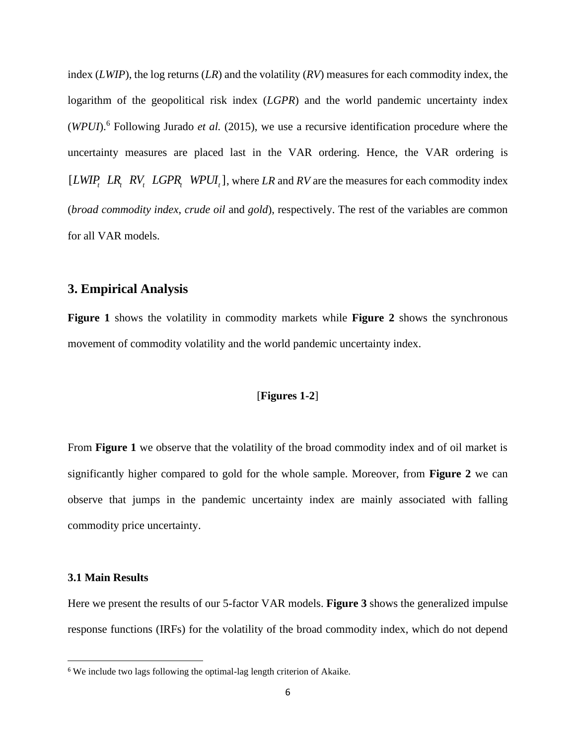index (*LWIP*), the log returns (*LR*) and the volatility (*RV*) measures for each commodity index, the logarithm of the geopolitical risk index (*LGPR*) and the world pandemic uncertainty index (*WPUI*). <sup>6</sup> Following Jurado *et al.* (2015), we use a recursive identification procedure where the uncertainty measures are placed last in the VAR ordering. Hence, the VAR ordering is [ $LWIP_t$ ,  $LR_t$ ,  $RV_t$ ,  $LGPR_t$ ,  $WPUI_t$ ], where  $LR$  and  $RV$  are the measures for each commodity index (*broad commodity index*, *crude oil* and *gold*), respectively. The rest of the variables are common for all VAR models.

#### **3. Empirical Analysis**

**Figure 1** shows the volatility in commodity markets while **Figure 2** shows the synchronous movement of commodity volatility and the world pandemic uncertainty index.

#### [**Figures 1-2**]

From **Figure 1** we observe that the volatility of the broad commodity index and of oil market is significantly higher compared to gold for the whole sample. Moreover, from **Figure 2** we can observe that jumps in the pandemic uncertainty index are mainly associated with falling commodity price uncertainty.

#### **3.1 Main Results**

Here we present the results of our 5-factor VAR models. **Figure 3** shows the generalized impulse response functions (IRFs) for the volatility of the broad commodity index, which do not depend

<sup>6</sup> We include two lags following the optimal-lag length criterion of Akaike.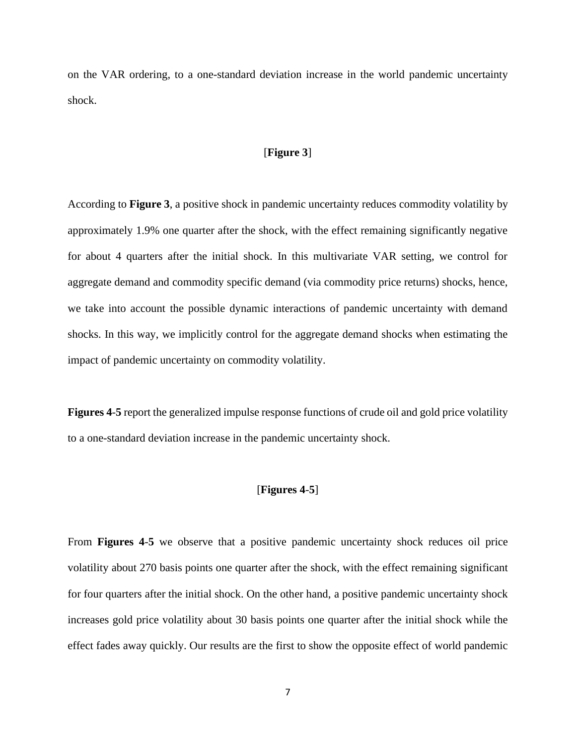on the VAR ordering, to a one-standard deviation increase in the world pandemic uncertainty shock.

#### [**Figure 3**]

According to **Figure 3**, a positive shock in pandemic uncertainty reduces commodity volatility by approximately 1.9% one quarter after the shock, with the effect remaining significantly negative for about 4 quarters after the initial shock. In this multivariate VAR setting, we control for aggregate demand and commodity specific demand (via commodity price returns) shocks, hence, we take into account the possible dynamic interactions of pandemic uncertainty with demand shocks. In this way, we implicitly control for the aggregate demand shocks when estimating the impact of pandemic uncertainty on commodity volatility.

**Figures 4**-**5** report the generalized impulse response functions of crude oil and gold price volatility to a one-standard deviation increase in the pandemic uncertainty shock.

#### [**Figures 4**-**5**]

From **Figures 4**-**5** we observe that a positive pandemic uncertainty shock reduces oil price volatility about 270 basis points one quarter after the shock, with the effect remaining significant for four quarters after the initial shock. On the other hand, a positive pandemic uncertainty shock increases gold price volatility about 30 basis points one quarter after the initial shock while the effect fades away quickly. Our results are the first to show the opposite effect of world pandemic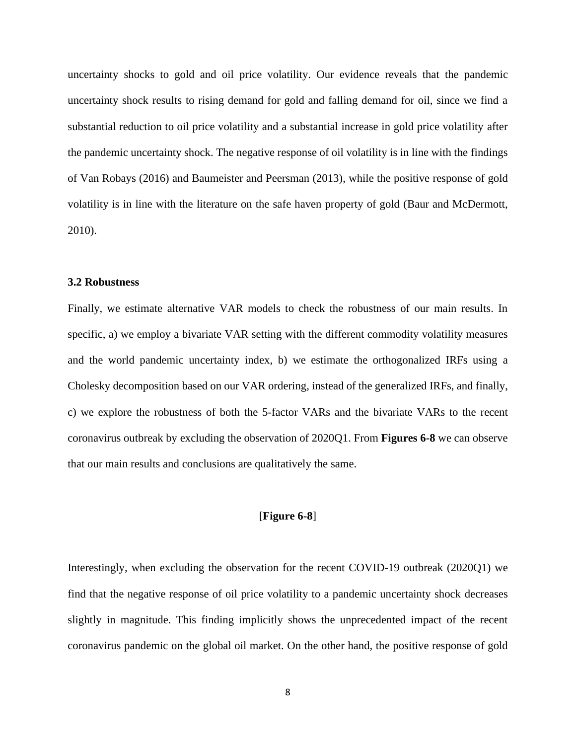uncertainty shocks to gold and oil price volatility. Our evidence reveals that the pandemic uncertainty shock results to rising demand for gold and falling demand for oil, since we find a substantial reduction to oil price volatility and a substantial increase in gold price volatility after the pandemic uncertainty shock. The negative response of oil volatility is in line with the findings of Van Robays (2016) and Baumeister and Peersman (2013), while the positive response of gold volatility is in line with the literature on the safe haven property of gold (Baur and McDermott, 2010).

#### **3.2 Robustness**

Finally, we estimate alternative VAR models to check the robustness of our main results. In specific, a) we employ a bivariate VAR setting with the different commodity volatility measures and the world pandemic uncertainty index, b) we estimate the orthogonalized IRFs using a Cholesky decomposition based on our VAR ordering, instead of the generalized IRFs, and finally, c) we explore the robustness of both the 5-factor VARs and the bivariate VARs to the recent coronavirus outbreak by excluding the observation of 2020Q1. From **Figures 6-8** we can observe that our main results and conclusions are qualitatively the same.

#### [**Figure 6-8**]

Interestingly, when excluding the observation for the recent COVID-19 outbreak (2020Q1) we find that the negative response of oil price volatility to a pandemic uncertainty shock decreases slightly in magnitude. This finding implicitly shows the unprecedented impact of the recent coronavirus pandemic on the global oil market. On the other hand, the positive response of gold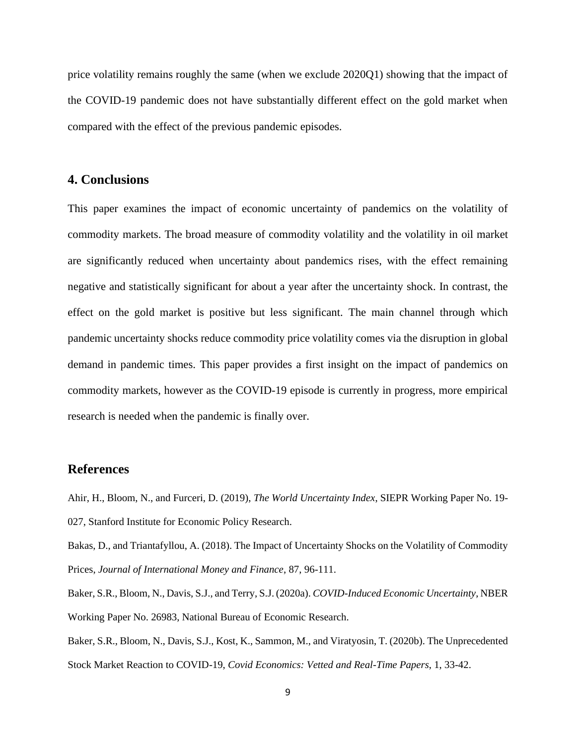price volatility remains roughly the same (when we exclude 2020Q1) showing that the impact of the COVID-19 pandemic does not have substantially different effect on the gold market when compared with the effect of the previous pandemic episodes.

#### **4. Conclusions**

This paper examines the impact of economic uncertainty of pandemics on the volatility of commodity markets. The broad measure of commodity volatility and the volatility in oil market are significantly reduced when uncertainty about pandemics rises, with the effect remaining negative and statistically significant for about a year after the uncertainty shock. In contrast, the effect on the gold market is positive but less significant. The main channel through which pandemic uncertainty shocks reduce commodity price volatility comes via the disruption in global demand in pandemic times. This paper provides a first insight on the impact of pandemics on commodity markets, however as the COVID-19 episode is currently in progress, more empirical research is needed when the pandemic is finally over.

#### **References**

Ahir, H., Bloom, N., and Furceri, D. (2019), *The World Uncertainty Index*, SIEPR Working Paper No. 19- 027, Stanford Institute for Economic Policy Research.

Bakas, D., and Triantafyllou, A. (2018). The Impact of Uncertainty Shocks on the Volatility of Commodity Prices, *Journal of International Money and Finance*, 87, 96-111.

Baker, S.R., Bloom, N., Davis, S.J., and Terry, S.J. (2020a). *COVID-Induced Economic Uncertainty*, NBER Working Paper No. 26983, National Bureau of Economic Research.

Baker, S.R., Bloom, N., Davis, S.J., Kost, K., Sammon, M., and Viratyosin, T. (2020b). The Unprecedented Stock Market Reaction to COVID-19, *Covid Economics: Vetted and Real-Time Papers*, 1, 33-42.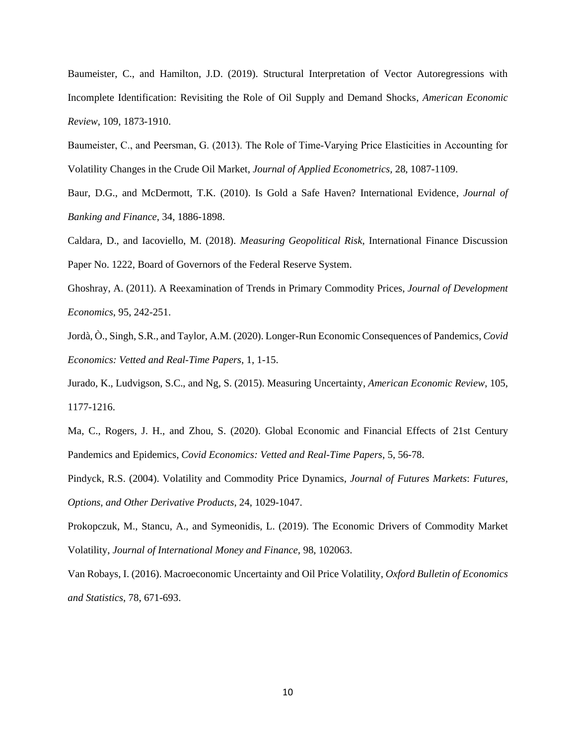Baumeister, C., and Hamilton, J.D. (2019). Structural Interpretation of Vector Autoregressions with Incomplete Identification: Revisiting the Role of Oil Supply and Demand Shocks, *American Economic Review*, 109, 1873-1910.

Baumeister, C., and Peersman, G. (2013). The Role of Time‐Varying Price Elasticities in Accounting for Volatility Changes in the Crude Oil Market, *Journal of Applied Econometrics,* 28, 1087-1109.

Baur, D.G., and McDermott, T.K. (2010). Is Gold a Safe Haven? International Evidence, *Journal of Banking and Finance*, 34, 1886-1898.

Caldara, D., and Iacoviello, M. (2018). *Measuring Geopolitical Risk*, International Finance Discussion Paper No. 1222, Board of Governors of the Federal Reserve System.

Ghoshray, A. (2011). A Reexamination of Trends in Primary Commodity Prices, *Journal of Development Economics*, 95, 242-251.

Jordà, Ò., Singh, S.R., and Taylor, A.M. (2020). Longer-Run Economic Consequences of Pandemics, *Covid Economics: Vetted and Real-Time Papers*, 1, 1-15.

Jurado, K., Ludvigson, S.C., and Ng, S. (2015). Measuring Uncertainty, *American Economic Review*, 105, 1177-1216.

Ma, C., Rogers, J. H., and Zhou, S. (2020). Global Economic and Financial Effects of 21st Century Pandemics and Epidemics, *Covid Economics: Vetted and Real-Time Papers*, 5, 56-78.

Pindyck, R.S. (2004). Volatility and Commodity Price Dynamics, *Journal of Futures Markets*: *Futures, Options, and Other Derivative Products*, 24, 1029-1047.

Prokopczuk, M., Stancu, A., and Symeonidis, L. (2019). The Economic Drivers of Commodity Market Volatility, *Journal of International Money and Finance,* 98, 102063.

Van Robays, I. (2016). Macroeconomic Uncertainty and Oil Price Volatility, *Oxford Bulletin of Economics and Statistics*, 78, 671-693.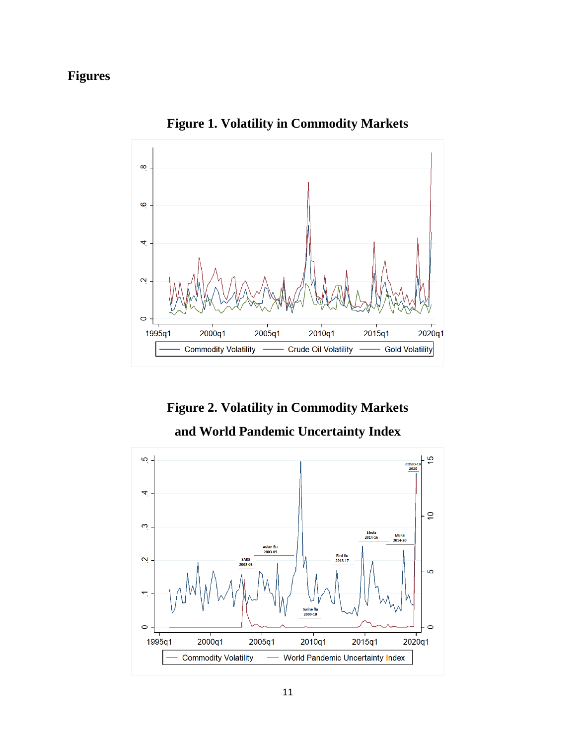## **Figures**



**Figure 1. Volatility in Commodity Markets**

**Figure 2. Volatility in Commodity Markets** 

**and World Pandemic Uncertainty Index**

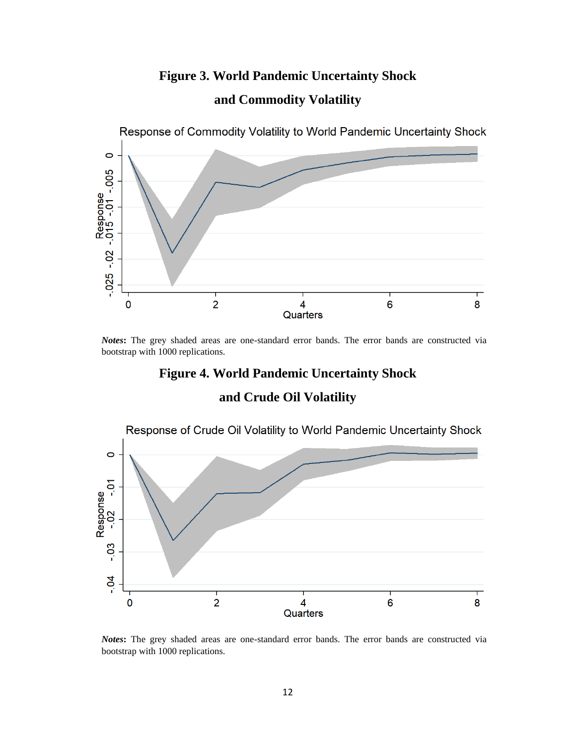# **Figure 3. World Pandemic Uncertainty Shock and Commodity Volatility**



*Notes***:** The grey shaded areas are one-standard error bands. The error bands are constructed via bootstrap with 1000 replications.

### **Figure 4. World Pandemic Uncertainty Shock**

### **and Crude Oil Volatility**



*Notes***:** The grey shaded areas are one-standard error bands. The error bands are constructed via bootstrap with 1000 replications.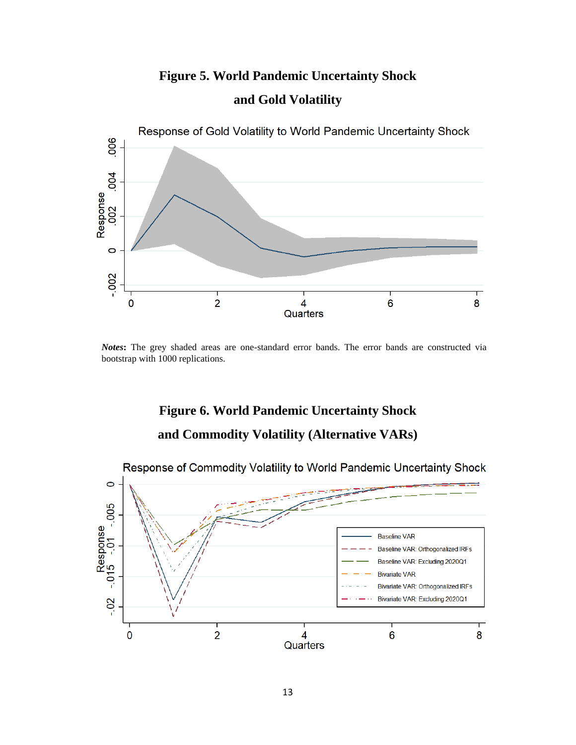# **Figure 5. World Pandemic Uncertainty Shock and Gold Volatility**



*Notes***:** The grey shaded areas are one-standard error bands. The error bands are constructed via bootstrap with 1000 replications.

# **Figure 6. World Pandemic Uncertainty Shock and Commodity Volatility (Alternative VARs)**